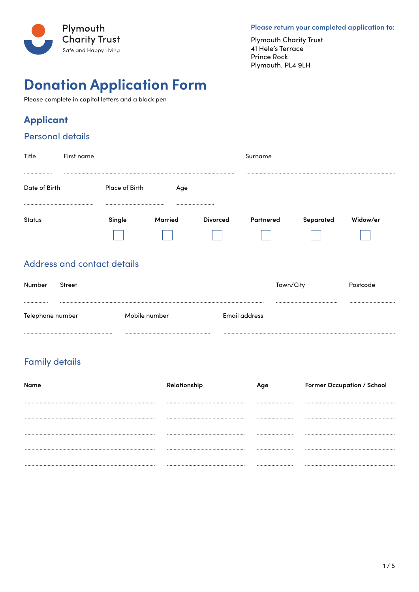

Please return your completed application to:

**Plymouth Charity Trust** 41 Hele's Terrace Prince Rock Plymouth. PL4 9LH

# **Donation Application Form**

Please complete in capital letters and a black pen

### **Applicant**

#### **Personal details**

| Title             | First name                  |                |             |                 | Surname   |           |          |
|-------------------|-----------------------------|----------------|-------------|-----------------|-----------|-----------|----------|
| <br>Date of Birth |                             | Place of Birth | Age         |                 |           |           |          |
| <b>Status</b>     |                             | Single         | <br>Married | <b>Divorced</b> | Partnered | Separated | Widow/er |
|                   | Address and contact details |                |             |                 |           |           |          |

| Number           | Street |               |               | Town/City | Postcode |
|------------------|--------|---------------|---------------|-----------|----------|
|                  |        |               |               |           |          |
| Telephone number |        | Mobile number | Email address |           |          |

### **Family details**

| Name | Relationship | Former Occupation / School |
|------|--------------|----------------------------|
|      |              |                            |
|      |              |                            |
|      |              |                            |
|      |              |                            |
|      |              |                            |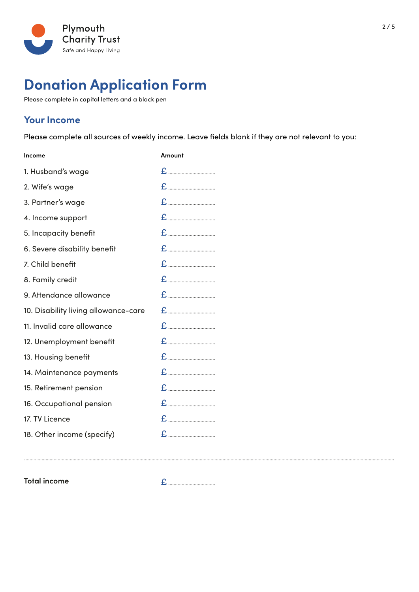

# **Donation Application Form**

Please complete in capital letters and a black pen

#### **Your Income**

Please complete all sources of weekly income. Leave fields blank if they are not relevant to you:

| Income                               | Amount |
|--------------------------------------|--------|
| 1. Husband's wage                    |        |
| 2. Wife's wage                       |        |
| 3. Partner's wage                    |        |
| 4. Income support                    |        |
| 5. Incapacity benefit                |        |
| 6. Severe disability benefit         |        |
| 7. Child benefit                     |        |
| 8. Family credit                     |        |
| 9. Attendance allowance              |        |
| 10. Disability living allowance-care |        |
| 11. Invalid care allowance           |        |
| 12. Unemployment benefit             |        |
| 13. Housing benefit                  |        |
| 14. Maintenance payments             |        |
| 15. Retirement pension               |        |
| 16. Occupational pension             |        |
| 17. TV Licence                       |        |
| 18. Other income (specify)           |        |

**Total income**

£ ...................................

....................................................................................................................................................................................................................................................................................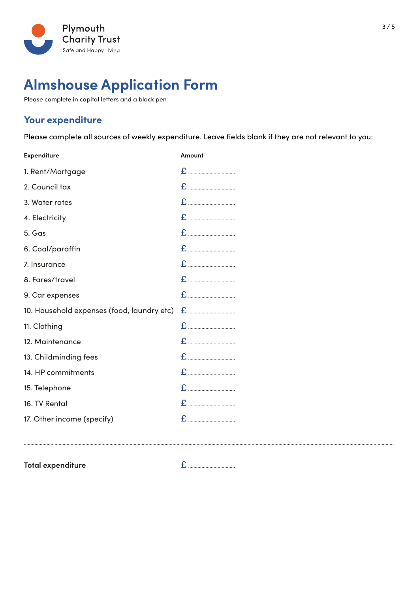

# **Almshouse Application Form**

Please complete in capital letters and a black pen

#### **Your expenditure**

Please complete all sources of weekly expenditure. Leave fields blank if they are not relevant to you:

| <b>Expenditure</b>                         | Amount |
|--------------------------------------------|--------|
| 1. Rent/Mortgage                           |        |
| 2. Council tax                             |        |
| 3. Water rates                             |        |
| 4. Electricity                             |        |
| 5. Gas                                     |        |
| 6. Coal/paraffin                           |        |
| 7. Insurance                               |        |
| 8. Fares/travel                            |        |
| 9. Car expenses                            |        |
| 10. Household expenses (food, laundry etc) |        |
| 11. Clothing                               |        |
| 12. Maintenance                            |        |
| 13. Childminding fees                      |        |
| 14. HP commitments                         |        |
| 15. Telephone                              |        |
| 16. TV Rental                              |        |
| 17. Other income (specify)                 |        |

**Total expenditure**

£ ...................................

....................................................................................................................................................................................................................................................................................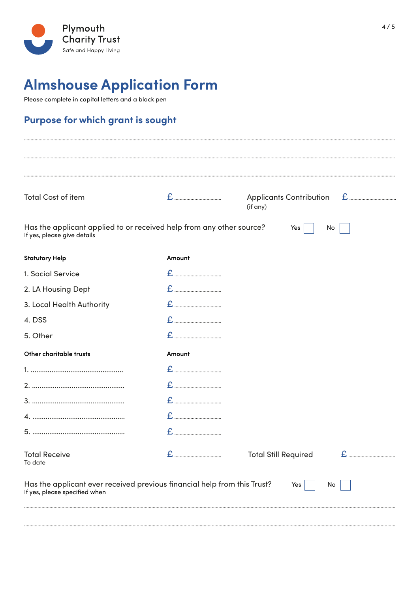

# **Almshouse Application Form**

Please complete in capital letters and a black pen

### Purpose for which grant is sought

| <b>Total Cost of item</b>                                                                                 |        | <b>Applicants Contribution</b> |    |
|-----------------------------------------------------------------------------------------------------------|--------|--------------------------------|----|
| Has the applicant applied to or received help from any other source?<br>If yes, please give details       |        | (if any)<br>Yes                | No |
| <b>Statutory Help</b>                                                                                     | Amount |                                |    |
| 1. Social Service                                                                                         |        |                                |    |
| 2. LA Housing Dept                                                                                        |        |                                |    |
| 3. Local Health Authority                                                                                 |        |                                |    |
| 4. DSS                                                                                                    |        |                                |    |
| 5. Other                                                                                                  |        |                                |    |
| Other charitable trusts                                                                                   | Amount |                                |    |
|                                                                                                           |        |                                |    |
|                                                                                                           |        |                                |    |
|                                                                                                           |        |                                |    |
|                                                                                                           |        |                                |    |
|                                                                                                           |        |                                |    |
| <b>Total Receive</b><br>To date                                                                           | £<br>  | Total Still Required           |    |
| Has the applicant ever received previous financial help from this Trust?<br>If yes, please specified when |        | Yes                            | No |